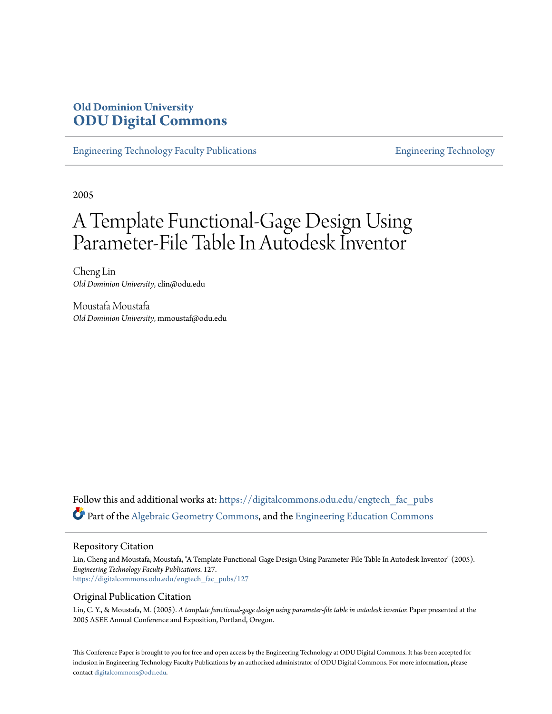# **Old Dominion University [ODU Digital Commons](https://digitalcommons.odu.edu?utm_source=digitalcommons.odu.edu%2Fengtech_fac_pubs%2F127&utm_medium=PDF&utm_campaign=PDFCoverPages)**

[Engineering Technology Faculty Publications](https://digitalcommons.odu.edu/engtech_fac_pubs?utm_source=digitalcommons.odu.edu%2Fengtech_fac_pubs%2F127&utm_medium=PDF&utm_campaign=PDFCoverPages) [Engineering Technology](https://digitalcommons.odu.edu/engtech?utm_source=digitalcommons.odu.edu%2Fengtech_fac_pubs%2F127&utm_medium=PDF&utm_campaign=PDFCoverPages)

2005

# A Template Functional-Gage Design Using Parameter-File Table In Autodesk Inventor

Cheng Lin *Old Dominion University*, clin@odu.edu

Moustafa Moustafa *Old Dominion University*, mmoustaf@odu.edu

Follow this and additional works at: [https://digitalcommons.odu.edu/engtech\\_fac\\_pubs](https://digitalcommons.odu.edu/engtech_fac_pubs?utm_source=digitalcommons.odu.edu%2Fengtech_fac_pubs%2F127&utm_medium=PDF&utm_campaign=PDFCoverPages) Part of the [Algebraic Geometry Commons,](http://network.bepress.com/hgg/discipline/176?utm_source=digitalcommons.odu.edu%2Fengtech_fac_pubs%2F127&utm_medium=PDF&utm_campaign=PDFCoverPages) and the [Engineering Education Commons](http://network.bepress.com/hgg/discipline/1191?utm_source=digitalcommons.odu.edu%2Fengtech_fac_pubs%2F127&utm_medium=PDF&utm_campaign=PDFCoverPages)

#### Repository Citation

Lin, Cheng and Moustafa, Moustafa, "A Template Functional-Gage Design Using Parameter-File Table In Autodesk Inventor" (2005). *Engineering Technology Faculty Publications*. 127. [https://digitalcommons.odu.edu/engtech\\_fac\\_pubs/127](https://digitalcommons.odu.edu/engtech_fac_pubs/127?utm_source=digitalcommons.odu.edu%2Fengtech_fac_pubs%2F127&utm_medium=PDF&utm_campaign=PDFCoverPages)

#### Original Publication Citation

Lin, C. Y., & Moustafa, M. (2005). *A template functional-gage design using parameter-file table in autodesk inventor.* Paper presented at the 2005 ASEE Annual Conference and Exposition, Portland, Oregon.

This Conference Paper is brought to you for free and open access by the Engineering Technology at ODU Digital Commons. It has been accepted for inclusion in Engineering Technology Faculty Publications by an authorized administrator of ODU Digital Commons. For more information, please contact [digitalcommons@odu.edu](mailto:digitalcommons@odu.edu).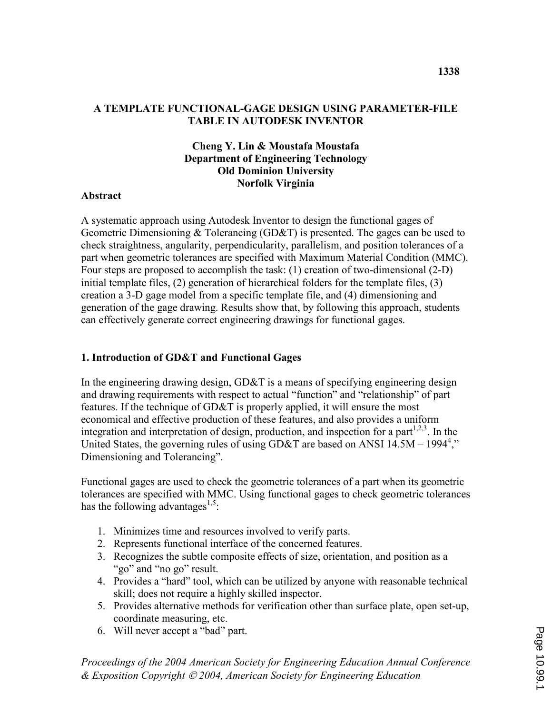#### A TEMPLATE FUNCTIONAL-GAGE DESIGN USING PARAMETER-FILE TABLE IN AUTODESK INVENTOR

### Cheng Y. Lin & Moustafa Moustafa Department of Engineering Technology Old Dominion University Norfolk Virginia

#### **Abstract**

A systematic approach using Autodesk Inventor to design the functional gages of Geometric Dimensioning & Tolerancing (GD&T) is presented. The gages can be used to check straightness, angularity, perpendicularity, parallelism, and position tolerances of a part when geometric tolerances are specified with Maximum Material Condition (MMC). Four steps are proposed to accomplish the task: (1) creation of two-dimensional (2-D) initial template files, (2) generation of hierarchical folders for the template files, (3) creation a 3-D gage model from a specific template file, and (4) dimensioning and generation of the gage drawing. Results show that, by following this approach, students can effectively generate correct engineering drawings for functional gages.

#### 1. Introduction of GD&T and Functional Gages

In the engineering drawing design, GD&T is a means of specifying engineering design and drawing requirements with respect to actual "function" and "relationship" of part features. If the technique of GD&T is properly applied, it will ensure the most economical and effective production of these features, and also provides a uniform integration and interpretation of design, production, and inspection for a part<sup>1,2,3</sup>. In the United States, the governing rules of using GD&T are based on ANSI  $14.5M - 1994^4$ ," Dimensioning and Tolerancing".

Functional gages are used to check the geometric tolerances of a part when its geometric tolerances are specified with MMC. Using functional gages to check geometric tolerances has the following advantages<sup>1,5</sup>:

- 1. Minimizes time and resources involved to verify parts.
- 2. Represents functional interface of the concerned features.
- 3. Recognizes the subtle composite effects of size, orientation, and position as a "go" and "no go" result.
- 4. Provides a "hard" tool, which can be utilized by anyone with reasonable technical skill; does not require a highly skilled inspector.
- 5. Provides alternative methods for verification other than surface plate, open set-up, coordinate measuring, etc.
- 6. Will never accept a "bad" part.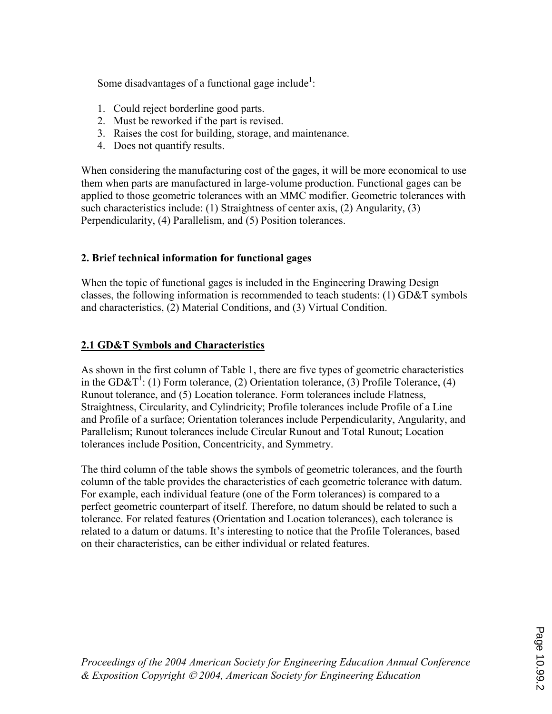Some disadvantages of a functional gage include<sup>1</sup>:

- 1. Could reject borderline good parts.
- 2. Must be reworked if the part is revised.
- 3. Raises the cost for building, storage, and maintenance.
- 4. Does not quantify results.

When considering the manufacturing cost of the gages, it will be more economical to use them when parts are manufactured in large-volume production. Functional gages can be applied to those geometric tolerances with an MMC modifier. Geometric tolerances with such characteristics include: (1) Straightness of center axis, (2) Angularity, (3) Perpendicularity, (4) Parallelism, and (5) Position tolerances.

## 2. Brief technical information for functional gages

When the topic of functional gages is included in the Engineering Drawing Design classes, the following information is recommended to teach students: (1) GD&T symbols and characteristics, (2) Material Conditions, and (3) Virtual Condition.

## 2.1 GD&T Symbols and Characteristics

As shown in the first column of Table 1, there are five types of geometric characteristics in the GD&T<sup>1</sup>: (1) Form tolerance, (2) Orientation tolerance, (3) Profile Tolerance, (4) Runout tolerance, and (5) Location tolerance. Form tolerances include Flatness, Straightness, Circularity, and Cylindricity; Profile tolerances include Profile of a Line and Profile of a surface; Orientation tolerances include Perpendicularity, Angularity, and Parallelism; Runout tolerances include Circular Runout and Total Runout; Location tolerances include Position, Concentricity, and Symmetry.

The third column of the table shows the symbols of geometric tolerances, and the fourth column of the table provides the characteristics of each geometric tolerance with datum. For example, each individual feature (one of the Form tolerances) is compared to a perfect geometric counterpart of itself. Therefore, no datum should be related to such a tolerance. For related features (Orientation and Location tolerances), each tolerance is related to a datum or datums. It's interesting to notice that the Profile Tolerances, based on their characteristics, can be either individual or related features.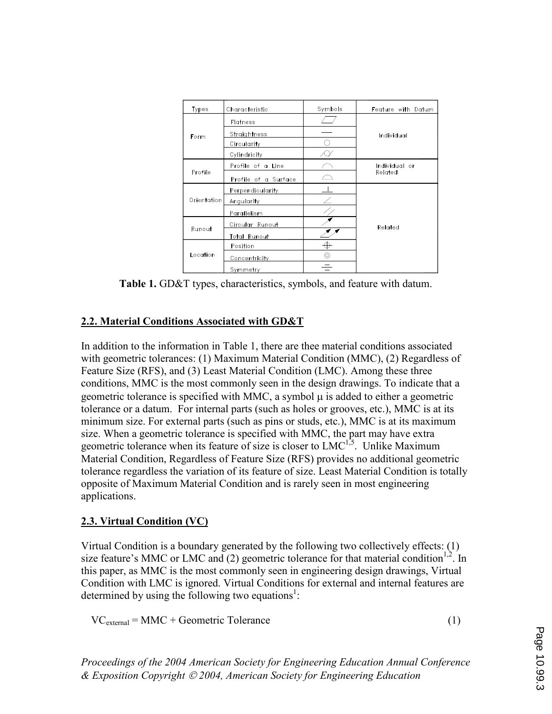| Types       | Characteristic       | Symbols | Feature with Datum       |  |  |
|-------------|----------------------|---------|--------------------------|--|--|
|             | Flatness             |         |                          |  |  |
| Form        | Straightness         |         | Individual               |  |  |
|             | Circularity          |         |                          |  |  |
|             | Cylindricity         |         |                          |  |  |
| Profile     | Profile of a Line    |         | Individual or<br>Related |  |  |
|             | Profile of a Surface |         |                          |  |  |
| Orientation | Perpendicularity     |         |                          |  |  |
|             | Angularity           |         |                          |  |  |
|             | Parallelism          |         |                          |  |  |
| Runout      | Circular Runout      |         | Related                  |  |  |
|             | Total Runout         |         |                          |  |  |
| Location    | Position             |         |                          |  |  |
|             | <b>Concentricity</b> | ⊚       |                          |  |  |
|             | Symmetry             |         |                          |  |  |

Table 1. GD&T types, characteristics, symbols, and feature with datum.

### 2.2. Material Conditions Associated with GD&T

In addition to the information in Table 1, there are thee material conditions associated with geometric tolerances: (1) Maximum Material Condition (MMC), (2) Regardless of Feature Size (RFS), and (3) Least Material Condition (LMC). Among these three conditions, MMC is the most commonly seen in the design drawings. To indicate that a geometric tolerance is specified with MMC, a symbol  $\mu$  is added to either a geometric tolerance or a datum. For internal parts (such as holes or grooves, etc.), MMC is at its minimum size. For external parts (such as pins or studs, etc.), MMC is at its maximum size. When a geometric tolerance is specified with MMC, the part may have extra geometric tolerance when its feature of size is closer to LMC<sup>1,5</sup>. Unlike Maximum Material Condition, Regardless of Feature Size (RFS) provides no additional geometric tolerance regardless the variation of its feature of size. Least Material Condition is totally opposite of Maximum Material Condition and is rarely seen in most engineering applications.

## 2.3. Virtual Condition (VC)

Virtual Condition is a boundary generated by the following two collectively effects: (1) size feature's MMC or LMC and (2) geometric tolerance for that material condition<sup>1,2</sup>. In this paper, as MMC is the most commonly seen in engineering design drawings, Virtual Condition with LMC is ignored. Virtual Conditions for external and internal features are determined by using the following two equations<sup>1</sup>:

 $VC_{\text{external}} = \text{MMC} + \text{Geometric Tolerance}$  (1)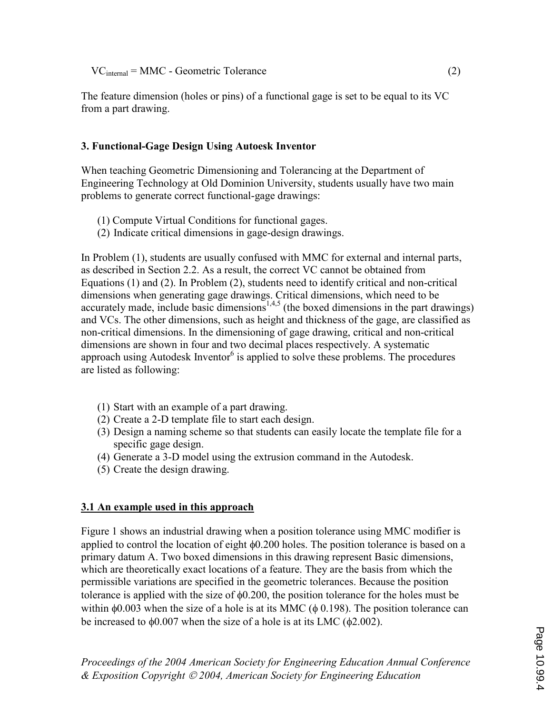$VC<sub>internal</sub> = MMC - Geometric Tolerance$  (2)

The feature dimension (holes or pins) of a functional gage is set to be equal to its VC from a part drawing.

## 3. Functional-Gage Design Using Autoesk Inventor

When teaching Geometric Dimensioning and Tolerancing at the Department of Engineering Technology at Old Dominion University, students usually have two main problems to generate correct functional-gage drawings:

- (1) Compute Virtual Conditions for functional gages.
- (2) Indicate critical dimensions in gage-design drawings.

In Problem (1), students are usually confused with MMC for external and internal parts, as described in Section 2.2. As a result, the correct VC cannot be obtained from Equations (1) and (2). In Problem (2), students need to identify critical and non-critical dimensions when generating gage drawings. Critical dimensions, which need to be accurately made, include basic dimensions<sup>1,4,5</sup> (the boxed dimensions in the part drawings) and VCs. The other dimensions, such as height and thickness of the gage, are classified as non-critical dimensions. In the dimensioning of gage drawing, critical and non-critical dimensions are shown in four and two decimal places respectively. A systematic approach using Autodesk Inventor $<sup>6</sup>$  is applied to solve these problems. The procedures</sup> are listed as following:

- (1) Start with an example of a part drawing.
- (2) Create a 2-D template file to start each design.
- (3) Design a naming scheme so that students can easily locate the template file for a specific gage design.
- (4) Generate a 3-D model using the extrusion command in the Autodesk.
- (5) Create the design drawing.

## 3.1 An example used in this approach

Figure 1 shows an industrial drawing when a position tolerance using MMC modifier is applied to control the location of eight φ0.200 holes. The position tolerance is based on a primary datum A. Two boxed dimensions in this drawing represent Basic dimensions, which are theoretically exact locations of a feature. They are the basis from which the permissible variations are specified in the geometric tolerances. Because the position tolerance is applied with the size of φ0.200, the position tolerance for the holes must be within  $\phi$ 0.003 when the size of a hole is at its MMC ( $\phi$  0.198). The position tolerance can be increased to  $\phi$ 0.007 when the size of a hole is at its LMC ( $\phi$ 2.002).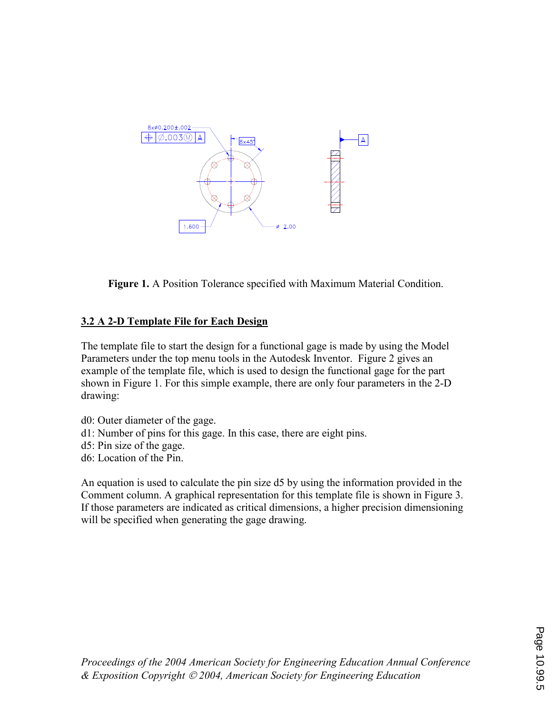

Figure 1. A Position Tolerance specified with Maximum Material Condition.

## 3.2 A 2-D Template File for Each Design

The template file to start the design for a functional gage is made by using the Model Parameters under the top menu tools in the Autodesk Inventor. Figure 2 gives an example of the template file, which is used to design the functional gage for the part shown in Figure 1. For this simple example, there are only four parameters in the 2-D drawing:

d0: Outer diameter of the gage.

- d1: Number of pins for this gage. In this case, there are eight pins.
- d5: Pin size of the gage.
- d6: Location of the Pin.

An equation is used to calculate the pin size d5 by using the information provided in the Comment column. A graphical representation for this template file is shown in Figure 3. If those parameters are indicated as critical dimensions, a higher precision dimensioning will be specified when generating the gage drawing.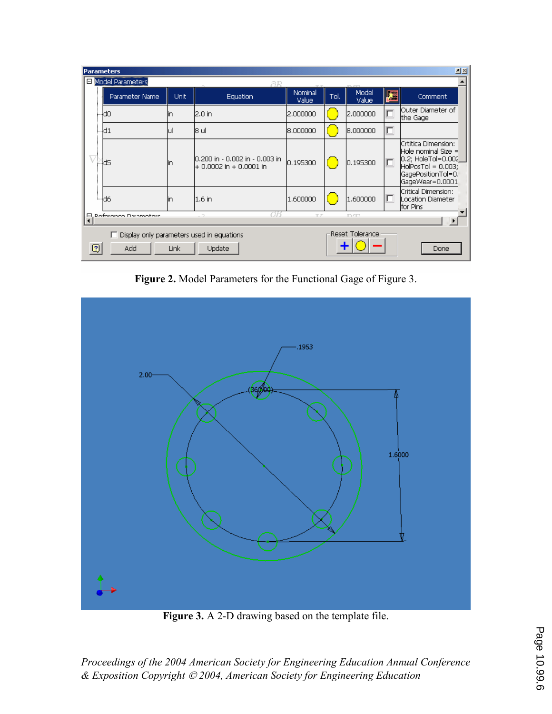| 回凶<br><b>Parameters</b>                                                                                                                |                |      |                                                            |                  |      |                       |   |                                                                                                                                            |  |  |
|----------------------------------------------------------------------------------------------------------------------------------------|----------------|------|------------------------------------------------------------|------------------|------|-----------------------|---|--------------------------------------------------------------------------------------------------------------------------------------------|--|--|
| Model Parameters<br>aв                                                                                                                 |                |      |                                                            |                  |      |                       |   |                                                                                                                                            |  |  |
|                                                                                                                                        | Parameter Name | Unit | <b>Equation</b>                                            | Nominal<br>Value | Tol. | Model<br><b>Value</b> | 櫮 | Comment                                                                                                                                    |  |  |
|                                                                                                                                        | ⊱ldo           | lin  | 2.0 in                                                     | 2.000000         |      | 2.000000              |   | lOuter Diameter of<br>the Gage                                                                                                             |  |  |
|                                                                                                                                        | ⊶d1            | ul   | 18 ul                                                      | 18.000000        |      | 8.000000              | Œ |                                                                                                                                            |  |  |
|                                                                                                                                        | 4d5            | lin  | 10,200 in - 0,002 in - 0,003 in<br>+ 0.0002 in + 0.0001 in | 0.195300         |      | 0.195300              |   | Crtitica Dimension:<br> Hole nominal Size = <br>$[0.2;$ HoleTol= $0.002]$<br>$HolPosTol = 0.003;$<br>GagePositionTol=0.<br>GageWear=0.0001 |  |  |
|                                                                                                                                        | ≔ld6           | lin  | l1.6 in                                                    | 1.600000         |      | 1.600000              |   | Critical Dimension:<br>Location Diameter<br>for Pins                                                                                       |  |  |
| Poforonco Daramotorc<br>TZ<br><b>DZZ</b><br>口                                                                                          |                |      |                                                            |                  |      |                       |   |                                                                                                                                            |  |  |
| <b>Reset Tolerance</b><br>Display only parameters used in equations<br>$\overline{\mathbb{C}}$<br>Update<br>Add<br><b>Link</b><br>Done |                |      |                                                            |                  |      |                       |   |                                                                                                                                            |  |  |

Figure 2. Model Parameters for the Functional Gage of Figure 3.



Figure 3. A 2-D drawing based on the template file.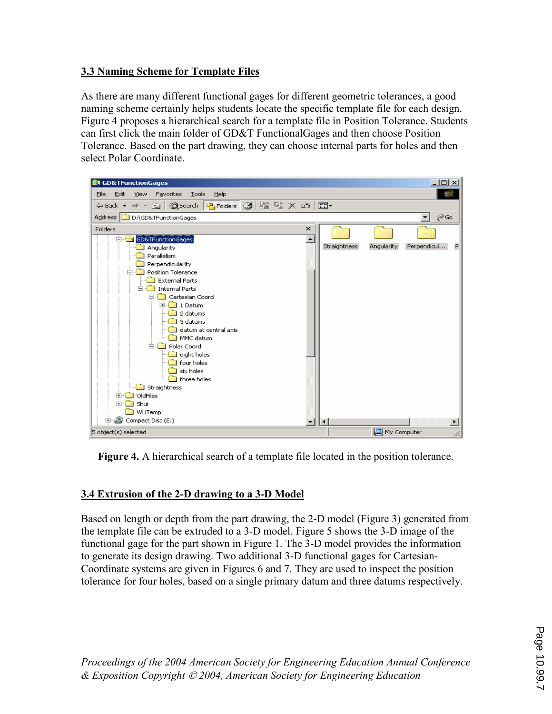## **3.3 Naming Scheme for Template Files**

As there are many different functional gages for different geometric tolerances, a good naming scheme certainly helps students locate the specific template file for each design. Figure 4 proposes a hierarchical search for a template file in Position Tolerance. Students can first click the main folder of GD&T Functional Gages and then choose Position Tolerance. Based on the part drawing, they can choose internal parts for holes and then select Polar Coordinate.



**Figure 4.** A hierarchical search of a template file located in the position tolerance.

# 3.4 Extrusion of the 2-D drawing to a 3-D Model

Based on length or depth from the part drawing, the 2-D model (Figure 3) generated from the template file can be extruded to a 3-D model. Figure 5 shows the 3-D image of the functional gage for the part shown in Figure 1. The 3-D model provides the information to generate its design drawing. Two additional 3-D functional gages for Cartesian-Coordinate systems are given in Figures 6 and 7. They are used to inspect the position tolerance for four holes, based on a single primary datum and three datums respectively.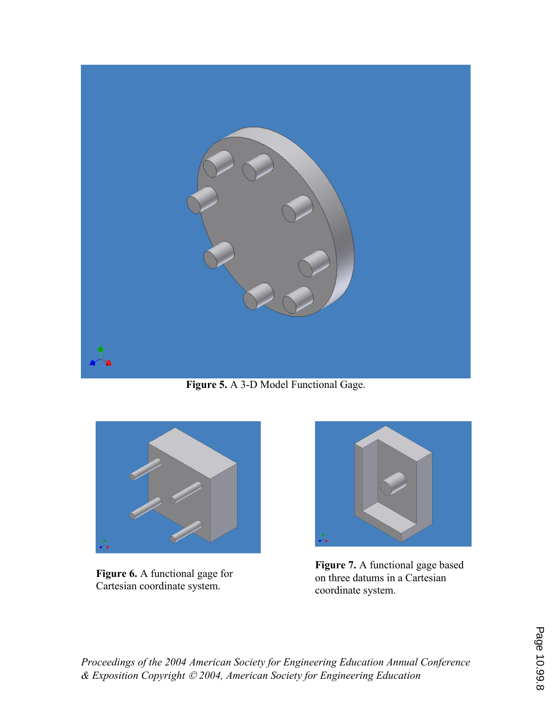

Figure 5. A 3-D Model Functional Gage.



Figure 6. A functional gage for Cartesian coordinate system.



Figure 7. A functional gage based on three datums in a Cartesian coordinate system.

Page 10.99.8 Page 10.99.8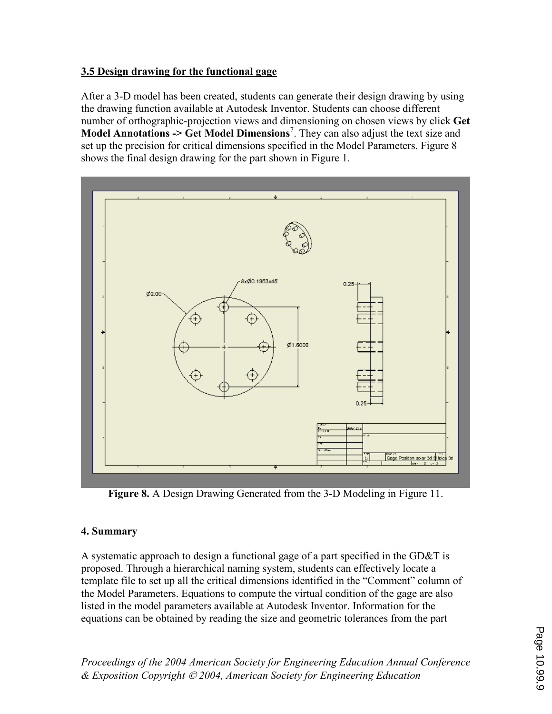### 3.5 Design drawing for the functional gage

After a 3-D model has been created, students can generate their design drawing by using the drawing function available at Autodesk Inventor. Students can choose different number of orthographic-projection views and dimensioning on chosen views by click Get **Model Annotations -> Get Model Dimensions**<sup>7</sup>. They can also adjust the text size and set up the precision for critical dimensions specified in the Model Parameters. Figure 8 shows the final design drawing for the part shown in Figure 1.



Figure 8. A Design Drawing Generated from the 3-D Modeling in Figure 11.

# 4. Summary

A systematic approach to design a functional gage of a part specified in the GD&T is proposed. Through a hierarchical naming system, students can effectively locate a template file to set up all the critical dimensions identified in the "Comment" column of the Model Parameters. Equations to compute the virtual condition of the gage are also listed in the model parameters available at Autodesk Inventor. Information for the equations can be obtained by reading the size and geometric tolerances from the part